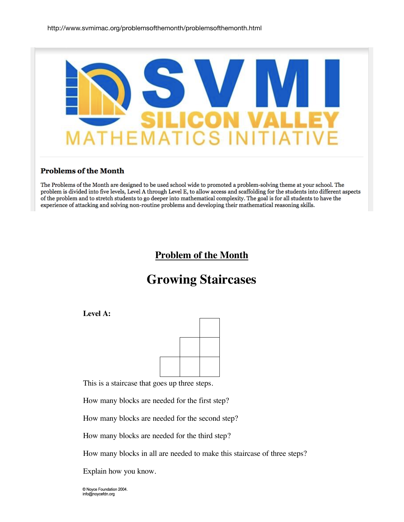

### **Problems of the Month**

The Problems of the Month are designed to be used school wide to promoted a problem-solving theme at your school. The problem is divided into five levels, Level A through Level E, to allow access and scaffolding for the students into different aspects of the problem and to stretch students to go deeper into mathematical complexity. The goal is for all students to have the experience of attacking and solving non-routine problems and developing their mathematical reasoning skills.

## **Problem of the Month**

# **Growing Staircases**

**Level A:** 



This is a staircase that goes up three steps.

How many blocks are needed for the first step?

How many blocks are needed for the second step?

How many blocks are needed for the third step?

How many blocks in all are needed to make this staircase of three steps?

Explain how you know.

© Noyce Foundation 2004. info@noycefdn.org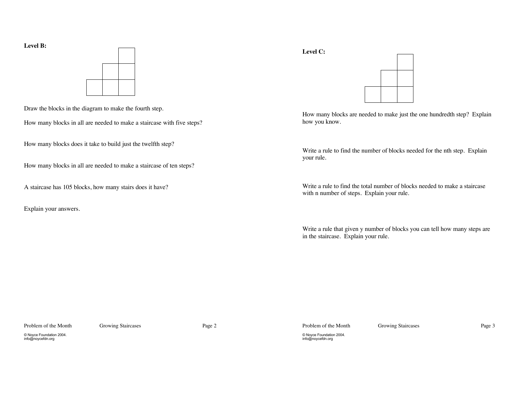### **Level B:**



Draw the blocks in the diagram to make the fourth step.

How many blocks in all are needed to make a staircase with five steps?

How many blocks does it take to build just the twelfth step?

How many blocks in all are needed to make a staircase of ten steps?

A staircase has 105 blocks, how many stairs does it have?

Explain your answers.

#### **Level C:**



How many blocks are needed to make just the one hundredth step? Explain how you know.

Write a rule to find the number of blocks needed for the nth step. Explain your rule.

Write a rule to find the total number of blocks needed to make a staircase with n number of steps. Explain your rule.

Write a rule that given y number of blocks you can tell how many steps are in the staircase. Explain your rule.

Problem of the Month Growing Staircases Page 2

Problem of the Month Growing Staircases Page 3

© Noyce Foundation 2004. info@noycefdn.org

© Noyce Foundation 2004. info@noycefdn.org